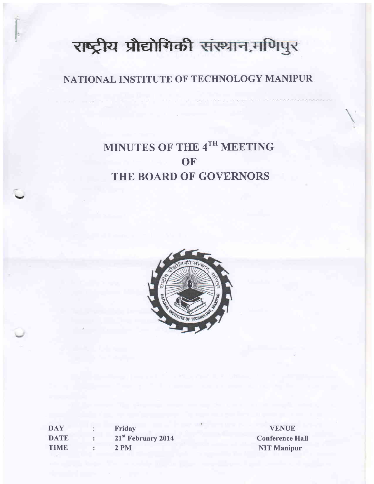# राष्ट्रीय प्रौद्योगिकी संस्थान,मणिपुर

## NATIONAL INSTITUTE OF TECHNOLOGY MANIPUR

## MINUTES OF THE 4TH MEETING **OF** THE BOARD OF GOVERNORS



**DAY** Friday 21st February 2014 **DATE** TIME 2PM  $\bullet$ 

v

VENUE Conference Hall **NIT Manipur**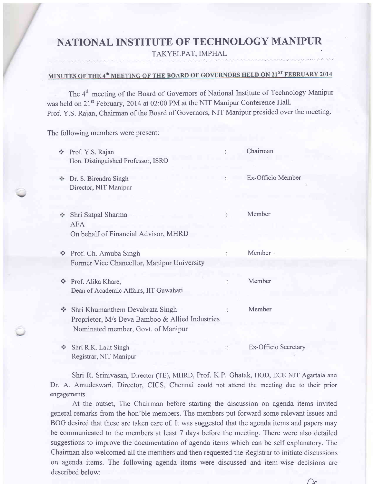## NATIONAL INSTITUTE OF TECHNOLOGY MANIPUR TAKYELPAT, IMPHAL

#### MINUTES OF THE 4<sup>th</sup> MEETING OF THE BOARD OF GOVERNORS HELD ON 21<sup>ST</sup> FEBRUARY 2014

The 4<sup>th</sup> meeting of the Board of Governors of National Institute of Technology Manipur was held on 21<sup>st</sup> February, 2014 at 02:00 PM at the NIT Manipur Conference Hall. Prof. Y.S. Rajan, Chairman of the Board of Governors, NIT Manipur presided over the meeting.

The following members were present:

Chairman \* Prof. Y.S. Rajan Hon. Distinguished Professor, ISRO Ex-Officio Member Dr. S. Birendra Singh Director, NIT Manipur Member Shri Satpal Sharma  $\mathcal{C}_\mathrm{c}$ AFA On behalf of Financial Advisor. MHRD Prof. Ch. Amuba Singh Member Former Vice Chancellor, Manipur University Prof. Alika Khare, Member Dean of Academic Affairs. IIT Guwahati \* Shri Khumanthem Devabrata Singh Member Proprietor, M/s Deva Bamboo & Allied Industries Nominated member, Govt. of Manipur \* Shri R.K. Lalit Singh Ex-Officio Secretary Registrar, NIT Manipur

Shri R. Srinivasan, Director (TE), MHRD, Prof. K.P. Ghatak, HOD, ECE NIT Agartala and Dr. A. Amudeswari, Director, CICS, Chennai could not attend the meeting due to their prior engagements.

At the outset, The Chairman before starting the discussion on agenda items invited general remarks from the hon'ble members. The members put forward some relevant issues and BOG desired that these are taken care of. It was suggested that the agenda items and papers may be communicated to the members at least 7 days before the meeting. There were also detailed suggestions to improve the documentation of agenda items which can be self explanatory. The Chairman also welcomed all the members and then requested the Registrar to initiate discussions on agenda items. The following agenda items were discussed and item-wise decisions are described below:

 $\bigcap$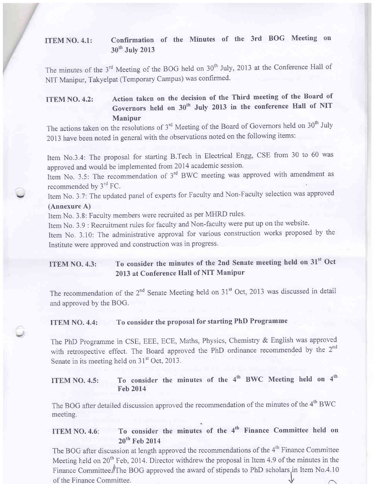## ITEM NO. 4.1: Confirmation of the Minutes of the 3rd BOG Meeting on 30<sup>th</sup> July 2013

The minutes of the 3<sup>rd</sup> Meeting of the BOG held on 30<sup>th</sup> July, 2013 at the Conference Hall of NIT Manipur, Takyelpat (Temporary campus) was confirmed.

## ITEM NO. 4.2: Action taken on the decision of the Third meeting of the Board of Governors held on 30<sup>th</sup> July 2013 in the conference Hall of NIT Manipur

The actions taken on the resolutions of  $3<sup>rd</sup>$  Meeting of the Board of Governors held on  $30<sup>th</sup>$  July 2013 have been noted in general with the observations noted on the following items:

Item No.3.4: The proposal for starting B.Tech in Electrical Engg, CSE from 30 to 60 was approved and would be implemented from 2014 academic session.

Item No. 3.5: The recommendation of  $3<sup>rd</sup>$  BWC meeting was approved with amendment as recommended by  $3<sup>rd</sup>$  FC.

Item No. 3.7: The updated panel of experts for Faculty and Non-Faculty selection was approved (Annexure A)

Item No. 3,8: Faculty members were recruited as per MHRD rules.

Item No. 3.9 : Recruitment rules for faculty and Non-faculty were put up on the website.

Item No. 3.10: The administrative approval for various construction works proposed by the Institute were approved and construction was in progress.

## ITEM NO. 4.3: To consider the minutes of the 2nd Senate meeting held on 31<sup>st</sup> Oct 2013 at Conference Hall of NIT Manipur

The recommendation of the  $2^{nd}$  Senate Meeting held on  $31^{st}$  Oct, 2013 was discussed in detail and approved by the BOG.

## ITEM NO. 4.4: To consider the proposal for starting PhD Programme

The PhD Programme in CSE, EEE, ECE, Maths, Physics, Chemistry & English was approved with retrospective effect. The Board approved the PhD ordinance recommended by the  $2<sup>nd</sup>$ Senate in its meeting held on 31<sup>st</sup> Oct, 2013.

## ITEM NO. 4.5: To consider the minutes of the  $4<sup>th</sup>$  BWC Meeting held on  $4<sup>th</sup>$ Feb 2014

The BOG after detailed discussion approved the recommendation of the minutes of the 4<sup>th</sup> BWC meeting.

## ITEM NO. 4.6: To consider the minutes of the 4<sup>th</sup> Finance Committee held on 20<sup>th</sup> Feb 2014

The BOG after discussion at length approved the recommendations of the 4<sup>th</sup> Finance Committee Meeting held on 20<sup>th</sup> Feb, 2014. Director withdrew the proposal in Item 4.9 of the minutes in the Finance Committee/The BOG approved the award of stipends to PhD scholars, in Item No.4.10 of the Finance Committee.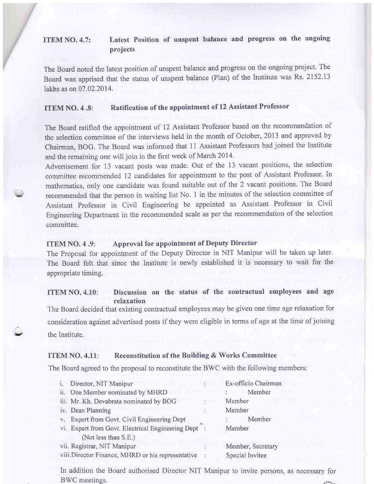### ITEM NO. 4.7: Latest Position of unspent balance and progress on the ongoing projects

The Board noted the latest position of unspent balance and progress on the ongoing project. The Board was apprised that the status of unspent balance (Plan) of the Institute was Rs. 2152.13 lakhs as on  $07.02.2014$ .

#### ITEM NO. 4 .8: Ratification of the appointment of 12 Assistant Professor

The Board ratified the appointment of 12 Assistant Professor based on the recommendation of the selection committee of the interviews held in the month of October, 2013 and approved by Chairman, BOG. The Board was informed that 11 Assistant Professors had joined the Institute and the remaining one will join in the first week of March 2014.

Advertisement for 13 vacant posts was made. Out of the 13 vacant positions, the selection committee recommended 12 candidates for appointment to the post of Assistant Professor. In mathematics, only one candidate was found suitable out of the 2 vacant positions. The Board recommended that the person in waiting list No. I in the minutes of the selection committee of Assistant Professor in Civil Engineering be appointed as Assistant Professor in Civil Engineering Department in the recommended scale as per the recommendation of the selection committee.

#### ITEM NO. 4 .9: Approval for appointment of Deputy Director

The Proposal for appointment of the Deputy Director in NIT Manipur will be taken up later. The Board felt that since the Institute is newly established it is necessary to wait for the appropriate timing.

#### ITEM NO. 4.10: Discussion on the status of the contractual employees and age relaxation

The Board decided that existing contractual employees may be given one time age relaxation for consideration against advertised posts if they were eligible in terms of age at the time of joining the Institute.

#### ITEM NO.4.11: Reconstitution of the Building & Works Committee

.v

The Board agreed to the proposal to reconstitute the BWC with the following members:

| i. | Director, NIT Manipur                              | Ex-officio Chairman |
|----|----------------------------------------------------|---------------------|
|    | ii. One Member nominated by MHRD                   | Member              |
|    | iii. Mr. Kh. Devabrata nominated by BOG            | Member              |
|    | iv. Dean Planning                                  | Member              |
|    | v. Expert from Govt. Civil Engineering Dept        | Member              |
|    | vi. Expert from Govt. Electrical Engineering Dept  | Member              |
|    | (Not less than S.E.)                               |                     |
|    | vii. Registrar, NIT Manipur                        | Member, Secretary   |
|    | viii. Director Finance, MHRD or his representative | Special Invitee     |

In addition the Board authorised Director NIT Manipur to invite persons, as necessary for BWC meetings.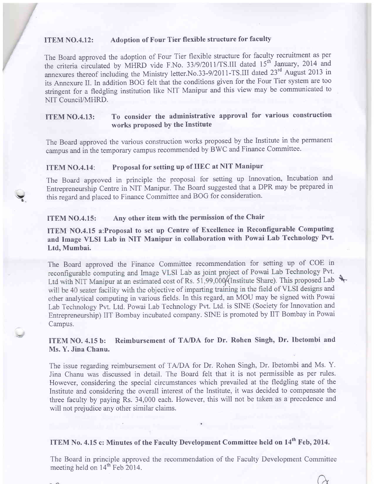#### ITEM NO.4.12: Adoption of Four Tier flexible structure for faculty

The Board approved the adoption of Four Tier flexible structure for faculty recruitment as per the criteria circulated by MHRD vide F.No. 33/9/2011/TS.III dated 15<sup>th</sup> January, 2014 and annexures thereof including the Ministry letter.No.33-9/2011-TS.III dated 23<sup>rd</sup> August 2013 in its Annexure II. In addition BOG felt that the conditions given for the Four Tier system are too stringent for a fledgling institution like NIT Manipur and this view may be communicated to NIT Council/MHRD.

#### ITEM NO.4.13: To consider the administrative approval for various construction works proposed bY the Institute

The Board approved the various construction works proposed by the Institute in the permanent campus and in the temporary campus recommended by BWC and Finance Committee.

#### ITEM NO.4.14: Proposal for setting up of IIEC at NIT Manipur

v

The Board approved in principle the proposal for setting up Innovation, Incubation and Entrepreneurship Centre in NIT Manipur. The Board suggested that a DPR may be prepared in this regard and placed to Finance Committee and BOG for consideration.

#### ITEM NO.4.15: Any other item with the permission of the chair

ITEM NO.4.15 a:Proposal to set up Centre of Excellence in Reconfigurable Computing and Image VLSI Lab in NIT Manipur in collaboration with Powai Lab Technology Pvt. Ltd, Mumbai.

The Board approved the Finance Committee recommendation for setting up of COE in reconfigurable computing and Image VLSI Lab as joint project of Powai Lab Technology Pvt. Ltd with NIT Manipur at an estimated cost of Rs. 51,99,000 (Institute Share). This proposed Lab will be 40 seater facility with the objective of imparting training in the field of VLSI designs and other analyical computing in various fields. In this regard, an MOU may be signed with Powai Lab Technology Pvt. Ltd. Powai Lab Technology Pvt. Ltd. is SINE (Society for Innovation and Entrepreneurship) IIT Bombay incubated company. SINE is promoted by IIT Bombay in Powai Campus.

#### ITEM NO. 4.15 b: Reimbursement of TA/DA for Dr. Rohen Singh, Dr. Ibetombi and Ms. Y. Jina Chanu.

The issue regarding reimbursement of TA/DA for Dr. Rohen Singh, Dr. Ibetombi and Ms. Y. Jina Chanu was discussed in detail. The Board felt that it is not permissible as per rules. However, considering the special circumstances which prevailed at the fledgling state of the Institute and considering the overall interest of the Institute, it was decided to compensate the three faculty by paying Rs. 34,000 each. However, this will not be taken as a precedence and will not prejudice any other similar claims.

## ITEM No. 4.15 c: Minutes of the Faculty Development Committee held on 14<sup>th</sup> Feb, 2014.

The Board in principle approved the recommendation of the Faculty Development Committee meeting held on  $14<sup>th</sup>$  Feb 2014.